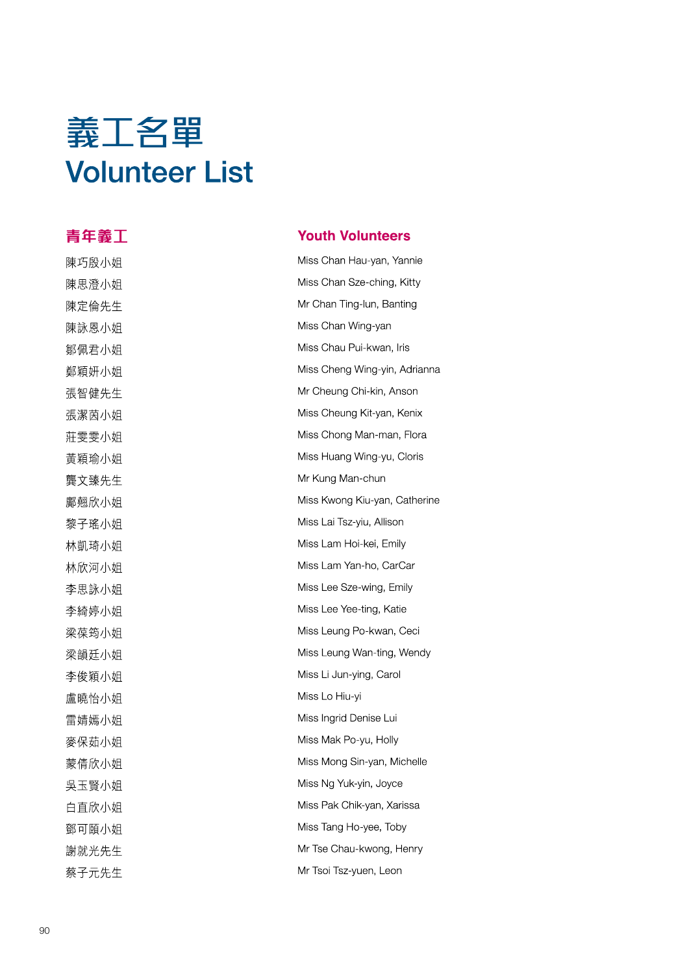# 義工名單 Volunteer List

### 青年義工 Youth Volunteers

陳巧殷小姐 Miss Chan Hau-yan, Yannie 陳思澄小姐 **Miss Chan Sze-ching, Kitty** 陳定倫先生 **Mr Chan Ting-lun, Banting** 陳詠恩小姐 **Miss Chan Wing-yan** 鄒佩君小姐 Miss Chau Pui-kwan, Iris 鄭穎妍小姐 Miss Cheng Wing-yin, Adrianna 張智健先生 **Mr Cheung Chi-kin, Anson** 張潔茵小姐 Wiss Cheung Kit-yan, Kenix 莊雯雯小姐 Miss Chong Man-man, Flora 黃穎瑜小姐 **Miss Huang Wing-yu, Cloris 壟文臻先生 Mr Kung Man-chun** 鄺翹欣小姐 Miss Kwong Kiu-yan, Catherine 黎子瑤小姐 Miss Lai Tsz-yiu, Allison 林凱琦小姐 Miss Lam Hoi-kei, Emily 林欣河小姐 Miss Lam Yan-ho, CarCar 李思詠小姐 Miss Lee Sze-wing, Emily 李綺婷小姐 **Miss Lee Yee-ting, Katie** 梁葆筠小姐 Miss Leung Po-kwan, Ceci 梁韻廷小姐 Miss Leung Wan-ting, Wendy 李俊穎小姐 **Miss Li Jun-ying, Carol** 盧曉冶小姐 Miss Lo Hiu-yi 雷婧嫣小姐 **Miss Ingrid Denise Lui** 麥保茹小姐 Miss Mak Po-yu, Holly 蒙倩欣小姐 **Miss Mong Sin-yan, Michelle** 吳玉賢小姐 Miss Ng Yuk-yin, Joyce 白直欣小姐 Miss Pak Chik-yan, Xarissa 鄧可頤小姐 Miss Tang Ho-yee, Toby 謝就光先生 Mr Tse Chau-kwong, Henry 蔡子元先生 Mr Tsoi Tsz-yuen, Leon